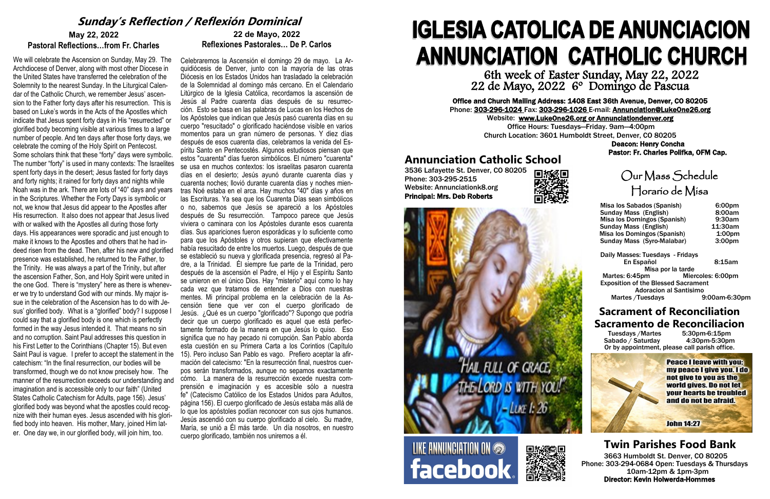# Our Mass Schedule Horario de Misa

 Daily Masses: Tuesdays - Fridays En Español 8:15am Misa por la tarde Martes: 6:45pm Miercoles: 6:00pm Exposition of the Blessed Sacrament Adoracion al Santisimo<br>Tuesdays 9:00am-6:30pm/ Martes / Tuesdays

| Misa los Sabados (Spanish)   | 6:00pm             |
|------------------------------|--------------------|
| <b>Sunday Mass (English)</b> | 8:00am             |
| Misa los Domingos (Spanish)  | 9:30am             |
| <b>Sunday Mass (English)</b> | 11:30am            |
| Misa los Domingos (Spanish)  | 1:00 <sub>pm</sub> |
| Sunday Mass (Syro-Malabar)   | 3:00 <sub>pm</sub> |

# **Sacrament of Reconciliation Sacramento de Reconciliacion**<br>Tuesdays /Martes 5:30pm-6:15pm

Tuesdays / Martes 5:30pm-6:15pm<br>
Sabado / Saturday 4:30pm-5:30pm Sabado  $\overline{\prime}$  Saturday Or by appointment, please call parish office.

> **Peace I leave with you:** my peace I give you. I do not give to you as the world gives. Do not let **your hearts be troubled** and do not be afraid.

**John 14:27** 

# **IGLESIA CATOLICA DE ANUNCIACION ANNUNCIATION CATHOLIC CHURCH** 6th week of Easter Sunday, May 22, 2022

22 de Mayo, 2022 6º Domingo de Pascua

Office and Church Mailing Address: 1408 East 36th Avenue, Denver, CO 80205 Phone: 303-296-1024 Fax: 303-296-1026 E-mail: Annunciation@LukeOne26.org Website: www.LukeOne26.org or Annunciationdenver.org Office Hours: Tuesdays—Friday. 9am—4:00pm Church Location: 3601 Humboldt Street, Denver, CO 80205 Deacon: Henry Concha

Pastor: Fr. Charles Polifka, OFM Cap.

# **Twin Parishes Food Bank**

3663 Humboldt St. Denver, CO 80205 Phone: 303-294-0684 Open: Tuesdays & Thursdays 10am-12pm & 1pm-3pm Director: Kevin Holwerda-Hommes

# **May 22, 2022 Pastoral Reflections…from Fr. Charles**

We will celebrate the Ascension on Sunday, May 29. The Archdiocese of Denver, along with most other Diocese in the United States have transferred the celebration of the Solemnity to the nearest Sunday. In the Liturgical Calendar of the Catholic Church, we remember Jesus' ascension to the Father forty days after his resurrection. This is based on Luke's words in the Acts of the Apostles which indicate that Jesus spent forty days in His "resurrected" or glorified body becoming visible at various times to a large number of people. And ten days after those forty days, we celebrate the coming of the Holy Spirit on Pentecost. Some scholars think that these "forty" days were symbolic. The number "forty" is used in many contexts: The Israelites spent forty days in the desert; Jesus fasted for forty days and forty nights; it rained for forty days and nights while Noah was in the ark. There are lots of "40" days and years in the Scriptures. Whether the Forty Days is symbolic or not, we know that Jesus did appear to the Apostles after His resurrection. It also does not appear that Jesus lived with or walked with the Apostles all during those forty days. His appearances were sporadic and just enough to make it knows to the Apostles and others that he had indeed risen from the dead. Then, after his new and glorified presence was established, he returned to the Father, to the Trinity. He was always a part of the Trinity, but after the ascension Father, Son, and Holy Spirit were united in the one God. There is "mystery" here as there is whenever we try to understand God with our minds. My major issue in the celebration of the Ascension has to do with Jesus' glorified body. What is a "glorified" body? I suppose I could say that a glorified body is one which is perfectly formed in the way Jesus intended it. That means no sin and no corruption. Saint Paul addresses this question in his First Letter to the Corinthians (Chapter 15). But even Saint Paul is vague. I prefer to accept the statement in the catechism: "In the final resurrection, our bodies will be transformed, though we do not know precisely how. The manner of the resurrection exceeds our understanding and imagination and is accessible only to our faith" (United States Catholic Catechism for Adults, page 156). Jesus' glorified body was beyond what the apostles could recognize with their human eyes. Jesus ascended with his glorified body into heaven. His mother, Mary, joined Him later. One day we, in our glorified body, will join him, too.

**Annunciation Catholic School**<br>3536 Lafayette St. Denver, CO 80205<br>Phone: 303-295-2515<br>**Report Connect Connect School** 3536 Lafayette St. Denver, CO 80205 Phone: 303-295-2515 Website: Annunciationk8.org Principal: Mrs. Deb Roberts





LIKE ANNUNCIATION ON **facebook** 



# **22 de Mayo, 2022 Reflexiones Pastorales… De P. Carlos**

Celebraremos la Ascensión el domingo 29 de mayo. La Arquidiócesis de Denver, junto con la mayoría de las otras Diócesis en los Estados Unidos han trasladado la celebración de la Solemnidad al domingo más cercano. En el Calendario Litúrgico de la Iglesia Católica, recordamos la ascensión de Jesús al Padre cuarenta días después de su resurrección. Esto se basa en las palabras de Lucas en los Hechos de los Apóstoles que indican que Jesús pasó cuarenta días en su cuerpo "resucitado" o glorificado haciéndose visible en varios momentos para un gran número de personas. Y diez días después de esos cuarenta días, celebramos la venida del Espíritu Santo en Pentecostés. Algunos estudiosos piensan que estos "cuarenta" días fueron simbólicos. El número "cuarenta" se usa en muchos contextos: los israelitas pasaron cuarenta días en el desierto; Jesús ayunó durante cuarenta días y cuarenta noches; llovió durante cuarenta días y noches mientras Noé estaba en el arca. Hay muchos "40" días y años en las Escrituras. Ya sea que los Cuarenta Días sean simbólicos o no, sabemos que Jesús se apareció a los Apóstoles después de Su resurrección. Tampoco parece que Jesús viviera o caminara con los Apóstoles durante esos cuarenta días. Sus apariciones fueron esporádicas y lo suficiente como para que los Apóstoles y otros supieran que efectivamente había resucitado de entre los muertos. Luego, después de que se estableció su nueva y glorificada presencia, regresó al Padre, a la Trinidad. Él siempre fue parte de la Trinidad, pero después de la ascensión el Padre, el Hijo y el Espíritu Santo se unieron en el único Dios. Hay "misterio" aquí como lo hay cada vez que tratamos de entender a Dios con nuestras mentes. Mi principal problema en la celebración de la Ascensión tiene que ver con el cuerpo glorificado de Jesús. ¿Qué es un cuerpo "glorificado"? Supongo que podría decir que un cuerpo glorificado es aquel que está perfectamente formado de la manera en que Jesús lo quiso. Eso significa que no hay pecado ni corrupción. San Pablo aborda esta cuestión en su Primera Carta a los Corintios (Capítulo 15). Pero incluso San Pablo es vago. Prefiero aceptar la afirmación del catecismo: "En la resurrección final, nuestros cuerpos serán transformados, aunque no sepamos exactamente cómo. La manera de la resurrección excede nuestra comprensión e imaginación y es accesible sólo a nuestra fe" (Catecismo Católico de los Estados Unidos para Adultos, página 156). El cuerpo glorificado de Jesús estaba más allá de lo que los apóstoles podían reconocer con sus ojos humanos. Jesús ascendió con su cuerpo glorificado al cielo. Su madre, María, se unió a Él más tarde. Un día nosotros, en nuestro cuerpo glorificado, también nos uniremos a él.

# **Sunday's Reflection / Reflexión Dominical**